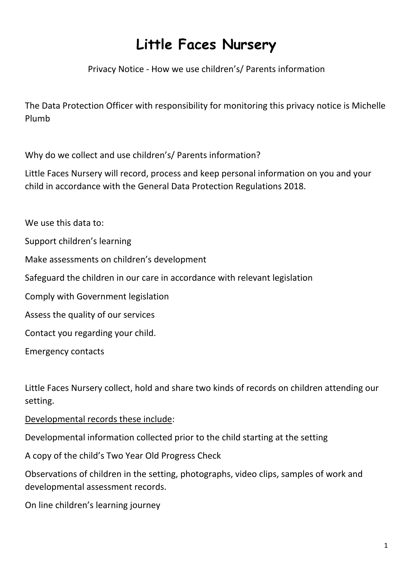## **Little Faces Nursery**

Privacy Notice - How we use children's/ Parents information

The Data Protection Officer with responsibility for monitoring this privacy notice is Michelle Plumb

Why do we collect and use children's/ Parents information?

Little Faces Nursery will record, process and keep personal information on you and your child in accordance with the General Data Protection Regulations 2018.

We use this data to:

Support children's learning

Make assessments on children's development

Safeguard the children in our care in accordance with relevant legislation

Comply with Government legislation

Assess the quality of our services

Contact you regarding your child.

Emergency contacts

Little Faces Nursery collect, hold and share two kinds of records on children attending our setting.

Developmental records these include:

Developmental information collected prior to the child starting at the setting

A copy of the child's Two Year Old Progress Check

Observations of children in the setting, photographs, video clips, samples of work and developmental assessment records.

On line children's learning journey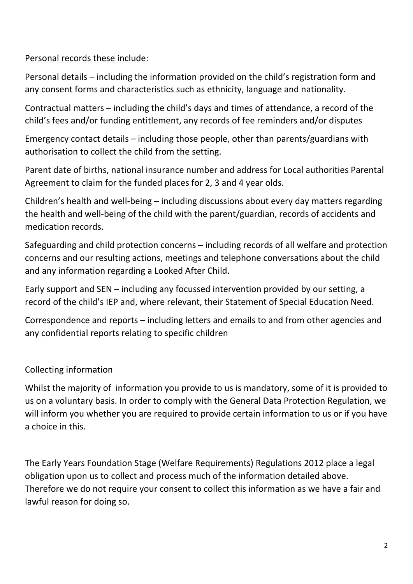## Personal records these include:

Personal details – including the information provided on the child's registration form and any consent forms and characteristics such as ethnicity, language and nationality.

Contractual matters – including the child's days and times of attendance, a record of the child's fees and/or funding entitlement, any records of fee reminders and/or disputes

Emergency contact details – including those people, other than parents/guardians with authorisation to collect the child from the setting.

Parent date of births, national insurance number and address for Local authorities Parental Agreement to claim for the funded places for 2, 3 and 4 year olds.

Children's health and well-being – including discussions about every day matters regarding the health and well-being of the child with the parent/guardian, records of accidents and medication records.

Safeguarding and child protection concerns – including records of all welfare and protection concerns and our resulting actions, meetings and telephone conversations about the child and any information regarding a Looked After Child.

Early support and SEN – including any focussed intervention provided by our setting, a record of the child's IEP and, where relevant, their Statement of Special Education Need.

Correspondence and reports – including letters and emails to and from other agencies and any confidential reports relating to specific children

## Collecting information

Whilst the majority of information you provide to us is mandatory, some of it is provided to us on a voluntary basis. In order to comply with the General Data Protection Regulation, we will inform you whether you are required to provide certain information to us or if you have a choice in this.

The Early Years Foundation Stage (Welfare Requirements) Regulations 2012 place a legal obligation upon us to collect and process much of the information detailed above. Therefore we do not require your consent to collect this information as we have a fair and lawful reason for doing so.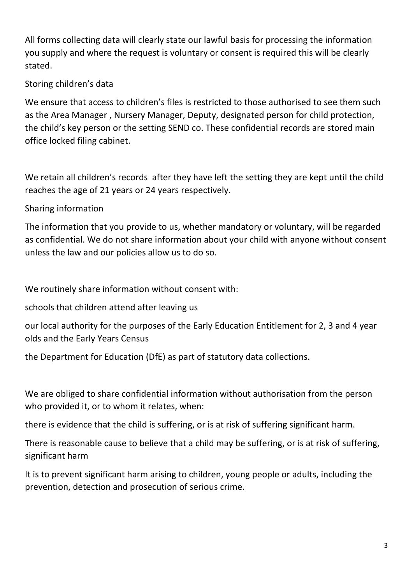All forms collecting data will clearly state our lawful basis for processing the information you supply and where the request is voluntary or consent is required this will be clearly stated.

## Storing children's data

We ensure that access to children's files is restricted to those authorised to see them such as the Area Manager , Nursery Manager, Deputy, designated person for child protection, the child's key person or the setting SEND co. These confidential records are stored main office locked filing cabinet.

We retain all children's records after they have left the setting they are kept until the child reaches the age of 21 years or 24 years respectively.

Sharing information

The information that you provide to us, whether mandatory or voluntary, will be regarded as confidential. We do not share information about your child with anyone without consent unless the law and our policies allow us to do so.

We routinely share information without consent with:

schools that children attend after leaving us

our local authority for the purposes of the Early Education Entitlement for 2, 3 and 4 year olds and the Early Years Census

the Department for Education (DfE) as part of statutory data collections.

We are obliged to share confidential information without authorisation from the person who provided it, or to whom it relates, when:

there is evidence that the child is suffering, or is at risk of suffering significant harm.

There is reasonable cause to believe that a child may be suffering, or is at risk of suffering, significant harm

It is to prevent significant harm arising to children, young people or adults, including the prevention, detection and prosecution of serious crime.